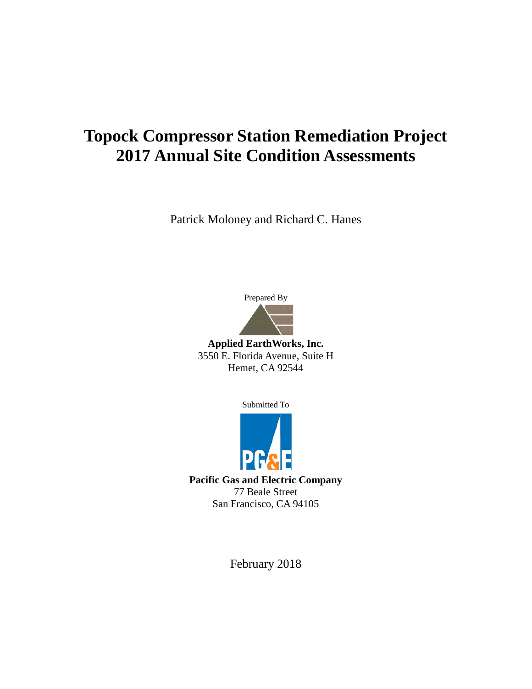# **Topock Compressor Station Remediation Project 2017 Annual Site Condition Assessments**

Patrick Moloney and Richard C. Hanes



**Applied EarthWorks, Inc.** 3550 E. Florida Avenue, Suite H Hemet, CA 92544

Submitted To



**Pacific Gas and Electric Company** 77 Beale Street San Francisco, CA 94105

February 2018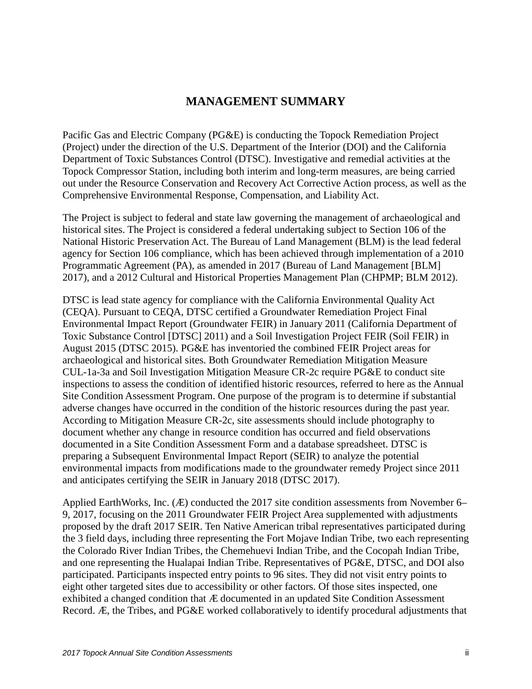### **MANAGEMENT SUMMARY**

Pacific Gas and Electric Company (PG&E) is conducting the Topock Remediation Project (Project) under the direction of the U.S. Department of the Interior (DOI) and the California Department of Toxic Substances Control (DTSC). Investigative and remedial activities at the Topock Compressor Station, including both interim and long-term measures, are being carried out under the Resource Conservation and Recovery Act Corrective Action process, as well as the Comprehensive Environmental Response, Compensation, and Liability Act.

The Project is subject to federal and state law governing the management of archaeological and historical sites. The Project is considered a federal undertaking subject to Section 106 of the National Historic Preservation Act. The Bureau of Land Management (BLM) is the lead federal agency for Section 106 compliance, which has been achieved through implementation of a 2010 Programmatic Agreement (PA), as amended in 2017 (Bureau of Land Management [BLM] 2017), and a 2012 Cultural and Historical Properties Management Plan (CHPMP; BLM 2012).

DTSC is lead state agency for compliance with the California Environmental Quality Act (CEQA). Pursuant to CEQA, DTSC certified a Groundwater Remediation Project Final Environmental Impact Report (Groundwater FEIR) in January 2011 (California Department of Toxic Substance Control [DTSC] 2011) and a Soil Investigation Project FEIR (Soil FEIR) in August 2015 (DTSC 2015). PG&E has inventoried the combined FEIR Project areas for archaeological and historical sites. Both Groundwater Remediation Mitigation Measure CUL-1a-3a and Soil Investigation Mitigation Measure CR-2c require PG&E to conduct site inspections to assess the condition of identified historic resources, referred to here as the Annual Site Condition Assessment Program. One purpose of the program is to determine if substantial adverse changes have occurred in the condition of the historic resources during the past year. According to Mitigation Measure CR-2c, site assessments should include photography to document whether any change in resource condition has occurred and field observations documented in a Site Condition Assessment Form and a database spreadsheet. DTSC is preparing a Subsequent Environmental Impact Report (SEIR) to analyze the potential environmental impacts from modifications made to the groundwater remedy Project since 2011 and anticipates certifying the SEIR in January 2018 (DTSC 2017).

Applied EarthWorks, Inc. (Æ) conducted the 2017 site condition assessments from November 6– 9, 2017, focusing on the 2011 Groundwater FEIR Project Area supplemented with adjustments proposed by the draft 2017 SEIR. Ten Native American tribal representatives participated during the 3 field days, including three representing the Fort Mojave Indian Tribe, two each representing the Colorado River Indian Tribes, the Chemehuevi Indian Tribe, and the Cocopah Indian Tribe, and one representing the Hualapai Indian Tribe. Representatives of PG&E, DTSC, and DOI also participated. Participants inspected entry points to 96 sites. They did not visit entry points to eight other targeted sites due to accessibility or other factors. Of those sites inspected, one exhibited a changed condition that Æ documented in an updated Site Condition Assessment Record. Æ, the Tribes, and PG&E worked collaboratively to identify procedural adjustments that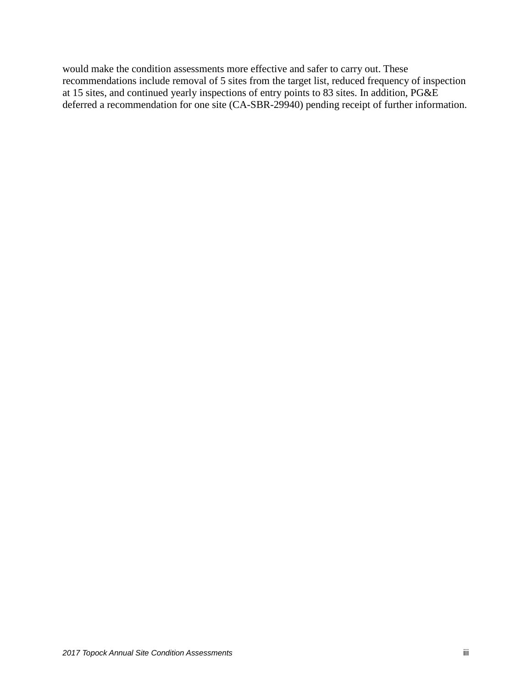would make the condition assessments more effective and safer to carry out. These recommendations include removal of 5 sites from the target list, reduced frequency of inspection at 15 sites, and continued yearly inspections of entry points to 83 sites. In addition, PG&E deferred a recommendation for one site (CA-SBR-29940) pending receipt of further information.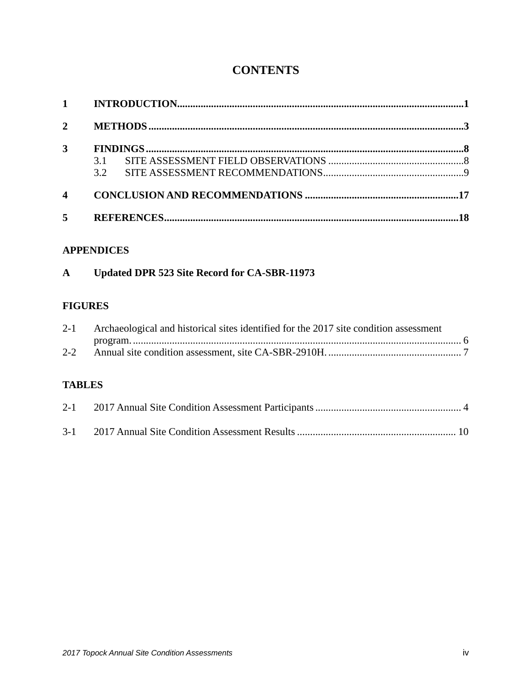# **CONTENTS**

| $1 \quad \blacksquare$ |     |  |
|------------------------|-----|--|
| $\mathbf{2}$           |     |  |
| 3                      |     |  |
|                        | 3.1 |  |
|                        | 32  |  |
| $\boldsymbol{4}$       |     |  |
| 5                      |     |  |

#### **APPENDICES**

| Updated DPR 523 Site Record for CA-SBR-11973<br>A |
|---------------------------------------------------|
|---------------------------------------------------|

#### **FIGURES**

|               | 2-1 Archaeological and historical sites identified for the 2017 site condition assessment |  |
|---------------|-------------------------------------------------------------------------------------------|--|
|               |                                                                                           |  |
| <b>TABLES</b> |                                                                                           |  |
|               |                                                                                           |  |

|  | $3-1$ |  |  |  |
|--|-------|--|--|--|
|--|-------|--|--|--|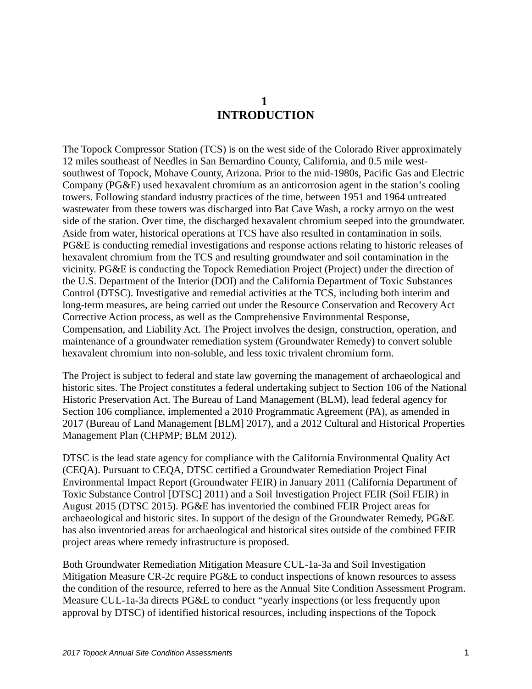## **1 INTRODUCTION**

<span id="page-4-0"></span>The Topock Compressor Station (TCS) is on the west side of the Colorado River approximately 12 miles southeast of Needles in San Bernardino County, California, and 0.5 mile westsouthwest of Topock, Mohave County, Arizona. Prior to the mid-1980s, Pacific Gas and Electric Company (PG&E) used hexavalent chromium as an anticorrosion agent in the station's cooling towers. Following standard industry practices of the time, between 1951 and 1964 untreated wastewater from these towers was discharged into Bat Cave Wash, a rocky arroyo on the west side of the station. Over time, the discharged hexavalent chromium seeped into the groundwater. Aside from water, historical operations at TCS have also resulted in contamination in soils. PG&E is conducting remedial investigations and response actions relating to historic releases of hexavalent chromium from the TCS and resulting groundwater and soil contamination in the vicinity. PG&E is conducting the Topock Remediation Project (Project) under the direction of the U.S. Department of the Interior (DOI) and the California Department of Toxic Substances Control (DTSC). Investigative and remedial activities at the TCS, including both interim and long-term measures, are being carried out under the Resource Conservation and Recovery Act Corrective Action process, as well as the Comprehensive Environmental Response, Compensation, and Liability Act. The Project involves the design, construction, operation, and maintenance of a groundwater remediation system (Groundwater Remedy) to convert soluble hexavalent chromium into non-soluble, and less toxic trivalent chromium form.

The Project is subject to federal and state law governing the management of archaeological and historic sites. The Project constitutes a federal undertaking subject to Section 106 of the National Historic Preservation Act. The Bureau of Land Management (BLM), lead federal agency for Section 106 compliance, implemented a 2010 Programmatic Agreement (PA), as amended in 2017 (Bureau of Land Management [BLM] 2017), and a 2012 Cultural and Historical Properties Management Plan (CHPMP; BLM 2012).

DTSC is the lead state agency for compliance with the California Environmental Quality Act (CEQA). Pursuant to CEQA, DTSC certified a Groundwater Remediation Project Final Environmental Impact Report (Groundwater FEIR) in January 2011 (California Department of Toxic Substance Control [DTSC] 2011) and a Soil Investigation Project FEIR (Soil FEIR) in August 2015 (DTSC 2015). PG&E has inventoried the combined FEIR Project areas for archaeological and historic sites. In support of the design of the Groundwater Remedy, PG&E has also inventoried areas for archaeological and historical sites outside of the combined FEIR project areas where remedy infrastructure is proposed.

Both Groundwater Remediation Mitigation Measure CUL-1a-3a and Soil Investigation Mitigation Measure CR-2c require PG&E to conduct inspections of known resources to assess the condition of the resource, referred to here as the Annual Site Condition Assessment Program. Measure CUL-1a-3a directs PG&E to conduct "yearly inspections (or less frequently upon approval by DTSC) of identified historical resources, including inspections of the Topock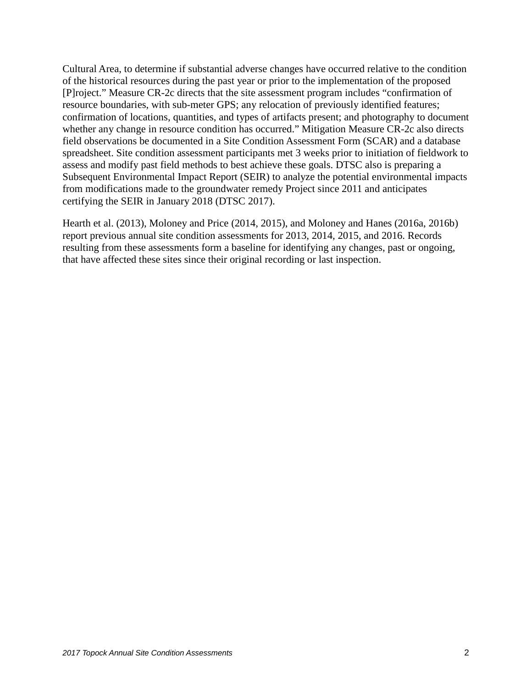Cultural Area, to determine if substantial adverse changes have occurred relative to the condition of the historical resources during the past year or prior to the implementation of the proposed [P]roject." Measure CR-2c directs that the site assessment program includes "confirmation of resource boundaries, with sub-meter GPS; any relocation of previously identified features; confirmation of locations, quantities, and types of artifacts present; and photography to document whether any change in resource condition has occurred." Mitigation Measure CR-2c also directs field observations be documented in a Site Condition Assessment Form (SCAR) and a database spreadsheet. Site condition assessment participants met 3 weeks prior to initiation of fieldwork to assess and modify past field methods to best achieve these goals. DTSC also is preparing a Subsequent Environmental Impact Report (SEIR) to analyze the potential environmental impacts from modifications made to the groundwater remedy Project since 2011 and anticipates certifying the SEIR in January 2018 (DTSC 2017).

Hearth et al. (2013), Moloney and Price (2014, 2015), and Moloney and Hanes (2016a, 2016b) report previous annual site condition assessments for 2013, 2014, 2015, and 2016. Records resulting from these assessments form a baseline for identifying any changes, past or ongoing, that have affected these sites since their original recording or last inspection.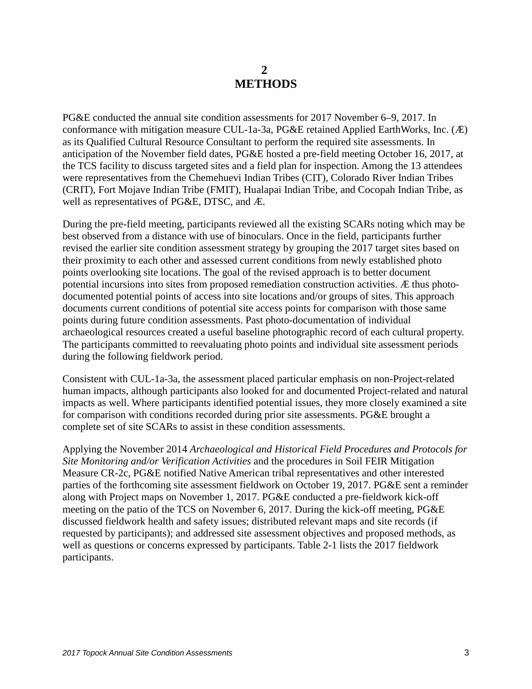## **2 METHODS**

<span id="page-6-0"></span>PG&E conducted the annual site condition assessments for 2017 November 6–9, 2017. In conformance with mitigation measure CUL-1a-3a, PG&E retained Applied EarthWorks, Inc. (Æ) as its Qualified Cultural Resource Consultant to perform the required site assessments. In anticipation of the November field dates, PG&E hosted a pre-field meeting October 16, 2017, at the TCS facility to discuss targeted sites and a field plan for inspection. Among the 13 attendees were representatives from the Chemehuevi Indian Tribes (CIT), Colorado River Indian Tribes (CRIT), Fort Mojave Indian Tribe (FMIT), Hualapai Indian Tribe, and Cocopah Indian Tribe, as well as representatives of PG&E, DTSC, and Æ.

During the pre-field meeting, participants reviewed all the existing SCARs noting which may be best observed from a distance with use of binoculars. Once in the field, participants further revised the earlier site condition assessment strategy by grouping the 2017 target sites based on their proximity to each other and assessed current conditions from newly established photo points overlooking site locations. The goal of the revised approach is to better document potential incursions into sites from proposed remediation construction activities. Æ thus photodocumented potential points of access into site locations and/or groups of sites. This approach documents current conditions of potential site access points for comparison with those same points during future condition assessments. Past photo-documentation of individual archaeological resources created a useful baseline photographic record of each cultural property. The participants committed to reevaluating photo points and individual site assessment periods during the following fieldwork period.

Consistent with CUL-1a-3a, the assessment placed particular emphasis on non-Project-related human impacts, although participants also looked for and documented Project-related and natural impacts as well. Where participants identified potential issues, they more closely examined a site for comparison with conditions recorded during prior site assessments. PG&E brought a complete set of site SCARs to assist in these condition assessments.

Applying the November 2014 *Archaeological and Historical Field Procedures and Protocols for Site Monitoring and/or Verification Activities* and the procedures in Soil FEIR Mitigation Measure CR-2c, PG&E notified Native American tribal representatives and other interested parties of the forthcoming site assessment fieldwork on October 19, 2017. PG&E sent a reminder along with Project maps on November 1, 2017. PG&E conducted a pre-fieldwork kick-off meeting on the patio of the TCS on November 6, 2017. During the kick-off meeting, PG&E discussed fieldwork health and safety issues; distributed relevant maps and site records (if requested by participants); and addressed site assessment objectives and proposed methods, as well as questions or concerns expressed by participants. Table 2-1 lists the 2017 fieldwork participants.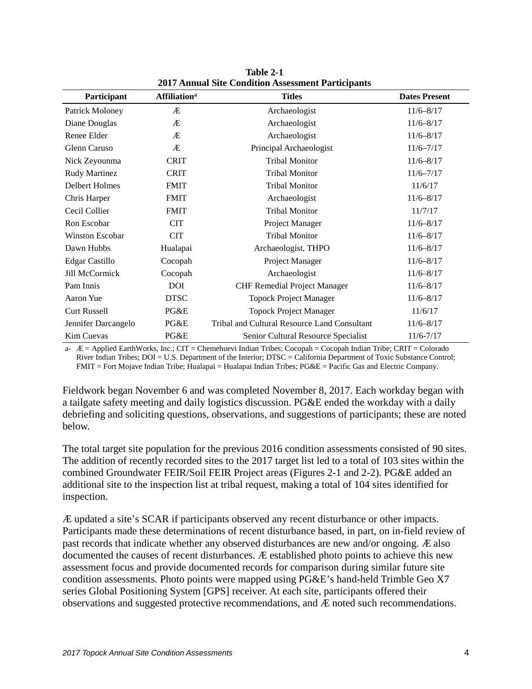| Participant            | <b>Affiliation</b> <sup>a</sup> | <b>Titles</b>                                | <b>Dates Present</b> |
|------------------------|---------------------------------|----------------------------------------------|----------------------|
| Patrick Moloney        | Æ                               | Archaeologist                                | $11/6 - 8/17$        |
| Diane Douglas          | Æ                               | Archaeologist                                | $11/6 - 8/17$        |
| Renee Elder            | Æ                               | Archaeologist                                | $11/6 - 8/17$        |
| Glenn Caruso           | Æ                               | Principal Archaeologist                      | $11/6 - 7/17$        |
| Nick Zeyounma          | <b>CRIT</b>                     | <b>Tribal Monitor</b>                        | $11/6 - 8/17$        |
| <b>Rudy Martinez</b>   | <b>CRIT</b>                     | <b>Tribal Monitor</b>                        | $11/6 - 7/17$        |
| Delbert Holmes         | <b>FMIT</b>                     | <b>Tribal Monitor</b>                        | 11/6/17              |
| Chris Harper           | <b>FMIT</b>                     | Archaeologist                                | $11/6 - 8/17$        |
| Cecil Collier          | <b>FMIT</b>                     | <b>Tribal Monitor</b>                        | 11/7/17              |
| Ron Escobar            | <b>CIT</b>                      | Project Manager                              | $11/6 - 8/17$        |
| <b>Winston Escobar</b> | <b>CIT</b>                      | <b>Tribal Monitor</b>                        | $11/6 - 8/17$        |
| Dawn Hubbs             | Hualapai                        | Archaeologist, THPO                          | $11/6 - 8/17$        |
| <b>Edgar Castillo</b>  | Cocopah                         | Project Manager                              | $11/6 - 8/17$        |
| <b>Jill McCormick</b>  | Cocopah                         | Archaeologist                                | $11/6 - 8/17$        |
| Pam Innis              | DOI                             | <b>CHF Remedial Project Manager</b>          | $11/6 - 8/17$        |
| Aaron Yue              | <b>DTSC</b>                     | <b>Topock Project Manager</b>                | $11/6 - 8/17$        |
| <b>Curt Russell</b>    | PG&E                            | <b>Topock Project Manager</b>                | 11/6/17              |
| Jennifer Darcangelo    | PG&E                            | Tribal and Cultural Resource Land Consultant | $11/6 - 8/17$        |
| Kim Cuevas             | PG&E                            | Senior Cultural Resource Specialist          | $11/6 - 7/17$        |

**Table 2-1 2017 Annual Site Condition Assessment Participants**

a- Æ = Applied EarthWorks, Inc.; CIT = Chemehuevi Indian Tribes; Cocopah = Cocopah Indian Tribe; CRIT = Colorado River Indian Tribes; DOI = U.S. Department of the Interior; DTSC = California Department of Toxic Substance Control; FMIT = Fort Mojave Indian Tribe; Hualapai = Hualapai Indian Tribes; PG&E = Pacific Gas and Electric Company.

Fieldwork began November 6 and was completed November 8, 2017. Each workday began with a tailgate safety meeting and daily logistics discussion. PG&E ended the workday with a daily debriefing and soliciting questions, observations, and suggestions of participants; these are noted below.

The total target site population for the previous 2016 condition assessments consisted of 90 sites. The addition of recently recorded sites to the 2017 target list led to a total of 103 sites within the combined Groundwater FEIR/Soil FEIR Project areas (Figures 2-1 and 2-2). PG&E added an additional site to the inspection list at tribal request, making a total of 104 sites identified for inspection.

Æ updated a site's SCAR if participants observed any recent disturbance or other impacts. Participants made these determinations of recent disturbance based, in part, on in-field review of past records that indicate whether any observed disturbances are new and/or ongoing. Æ also documented the causes of recent disturbances. Æ established photo points to achieve this new assessment focus and provide documented records for comparison during similar future site condition assessments. Photo points were mapped using PG&E's hand-held Trimble Geo X7 series Global Positioning System [GPS] receiver. At each site, participants offered their observations and suggested protective recommendations, and Æ noted such recommendations.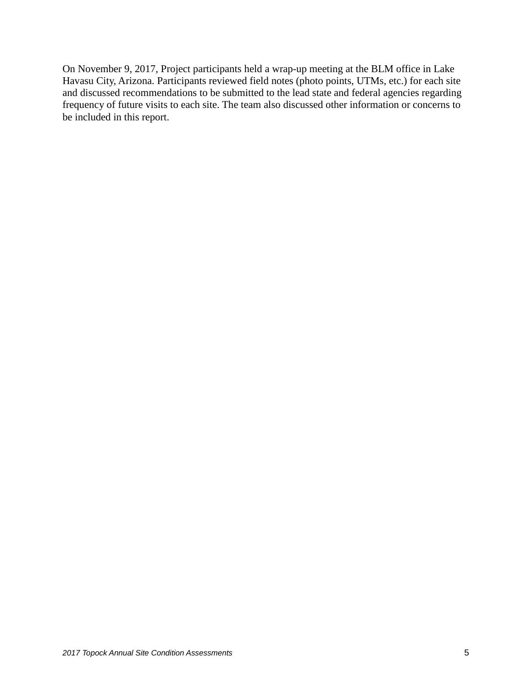On November 9, 2017, Project participants held a wrap-up meeting at the BLM office in Lake Havasu City, Arizona. Participants reviewed field notes (photo points, UTMs, etc.) for each site and discussed recommendations to be submitted to the lead state and federal agencies regarding frequency of future visits to each site. The team also discussed other information or concerns to be included in this report.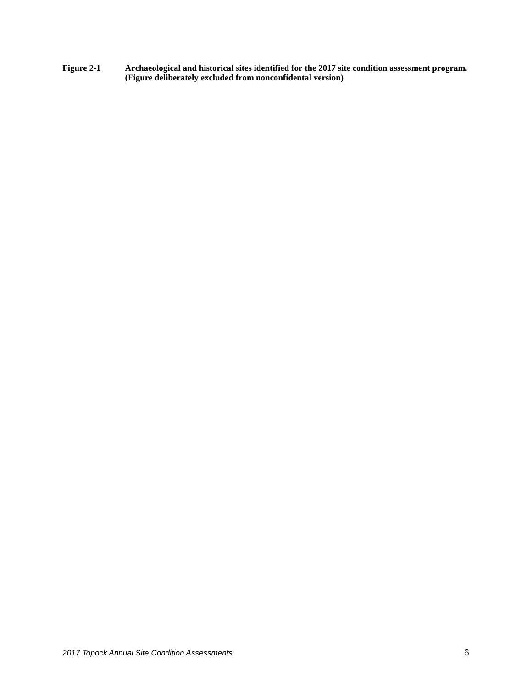**Figure 2-1 Archaeological and historical sites identified for the 2017 site condition assessment program. (Figure deliberately excluded from nonconfidental version)**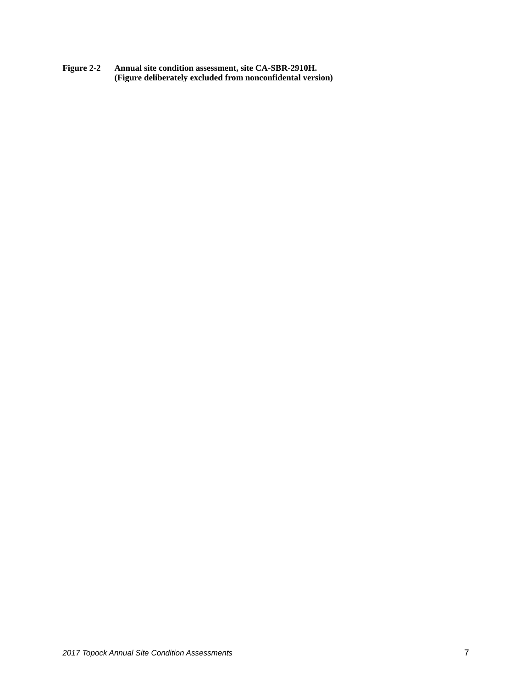**Figure 2-2 Annual site condition assessment, site CA-SBR-2910H. (Figure deliberately excluded from nonconfidental version)**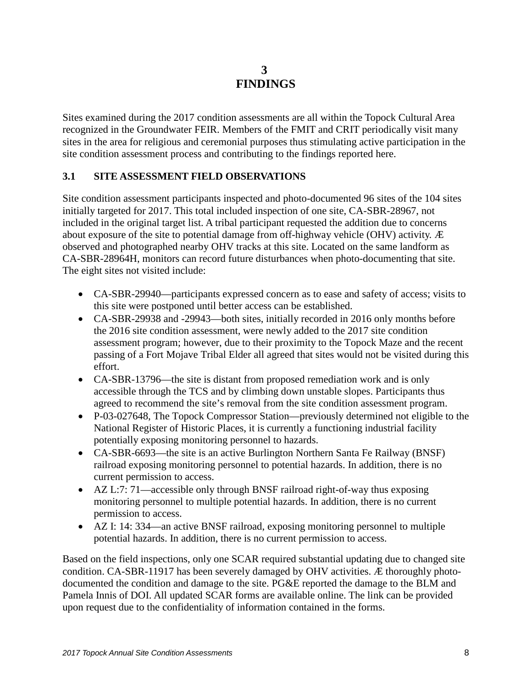# **3 FINDINGS**

<span id="page-11-0"></span>Sites examined during the 2017 condition assessments are all within the Topock Cultural Area recognized in the Groundwater FEIR. Members of the FMIT and CRIT periodically visit many sites in the area for religious and ceremonial purposes thus stimulating active participation in the site condition assessment process and contributing to the findings reported here.

#### <span id="page-11-1"></span>**3.1 SITE ASSESSMENT FIELD OBSERVATIONS**

Site condition assessment participants inspected and photo-documented 96 sites of the 104 sites initially targeted for 2017. This total included inspection of one site, CA-SBR-28967, not included in the original target list. A tribal participant requested the addition due to concerns about exposure of the site to potential damage from off-highway vehicle (OHV) activity. Æ observed and photographed nearby OHV tracks at this site. Located on the same landform as CA-SBR-28964H, monitors can record future disturbances when photo-documenting that site. The eight sites not visited include:

- CA-SBR-29940—participants expressed concern as to ease and safety of access; visits to this site were postponed until better access can be established.
- CA-SBR-29938 and -29943—both sites, initially recorded in 2016 only months before the 2016 site condition assessment, were newly added to the 2017 site condition assessment program; however, due to their proximity to the Topock Maze and the recent passing of a Fort Mojave Tribal Elder all agreed that sites would not be visited during this effort.
- CA-SBR-13796—the site is distant from proposed remediation work and is only accessible through the TCS and by climbing down unstable slopes. Participants thus agreed to recommend the site's removal from the site condition assessment program.
- P-03-027648, The Topock Compressor Station—previously determined not eligible to the National Register of Historic Places, it is currently a functioning industrial facility potentially exposing monitoring personnel to hazards.
- CA-SBR-6693—the site is an active Burlington Northern Santa Fe Railway (BNSF) railroad exposing monitoring personnel to potential hazards. In addition, there is no current permission to access.
- AZ L:7: 71—accessible only through BNSF railroad right-of-way thus exposing monitoring personnel to multiple potential hazards. In addition, there is no current permission to access.
- AZ I: 14: 334—an active BNSF railroad, exposing monitoring personnel to multiple potential hazards. In addition, there is no current permission to access.

Based on the field inspections, only one SCAR required substantial updating due to changed site condition. CA-SBR-11917 has been severely damaged by OHV activities. Æ thoroughly photodocumented the condition and damage to the site. PG&E reported the damage to the BLM and Pamela Innis of DOI. All updated SCAR forms are available online. The link can be provided upon request due to the confidentiality of information contained in the forms.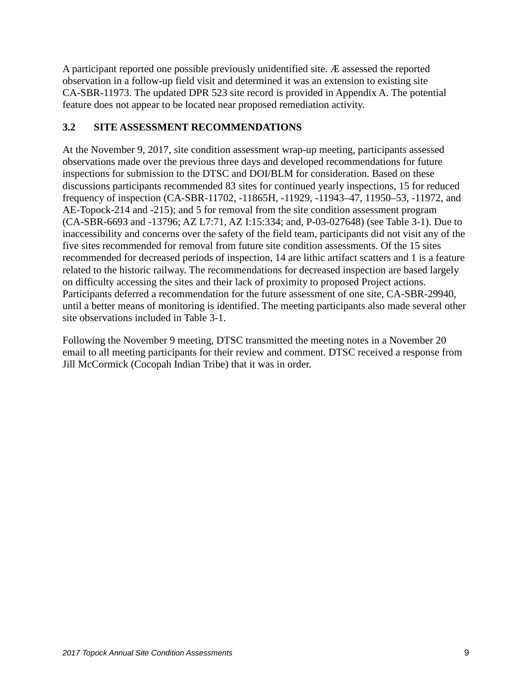A participant reported one possible previously unidentified site. Æ assessed the reported observation in a follow-up field visit and determined it was an extension to existing site CA-SBR-11973. The updated DPR 523 site record is provided in Appendix A. The potential feature does not appear to be located near proposed remediation activity.

#### <span id="page-12-0"></span>**3.2 SITE ASSESSMENT RECOMMENDATIONS**

At the November 9, 2017, site condition assessment wrap-up meeting, participants assessed observations made over the previous three days and developed recommendations for future inspections for submission to the DTSC and DOI/BLM for consideration. Based on these discussions participants recommended 83 sites for continued yearly inspections, 15 for reduced frequency of inspection (CA-SBR-11702, -11865H, -11929, -11943–47, 11950–53, -11972, and AE-Topock-214 and -215); and 5 for removal from the site condition assessment program (CA-SBR-6693 and -13796; AZ L7:71, AZ I:15:334; and, P-03-027648) (see Table 3-1). Due to inaccessibility and concerns over the safety of the field team, participants did not visit any of the five sites recommended for removal from future site condition assessments. Of the 15 sites recommended for decreased periods of inspection, 14 are lithic artifact scatters and 1 is a feature related to the historic railway. The recommendations for decreased inspection are based largely on difficulty accessing the sites and their lack of proximity to proposed Project actions. Participants deferred a recommendation for the future assessment of one site, CA-SBR-29940, until a better means of monitoring is identified. The meeting participants also made several other site observations included in Table 3-1.

Following the November 9 meeting, DTSC transmitted the meeting notes in a November 20 email to all meeting participants for their review and comment. DTSC received a response from Jill McCormick (Cocopah Indian Tribe) that it was in order.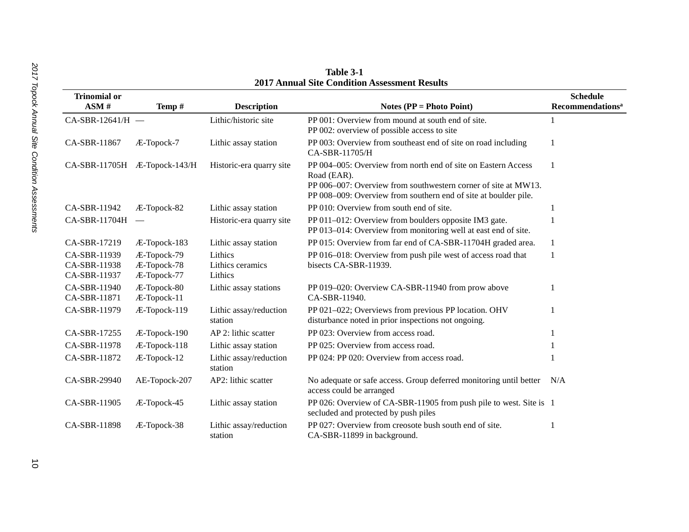| <b>Trinomial or</b><br>ASM#                  | Temp#                                     | <b>Description</b>                     | Notes ( $PP = Photo Point$ )                                                                                                                                                                                      | <b>Schedule</b><br><b>Recommendations<sup>a</sup></b> |
|----------------------------------------------|-------------------------------------------|----------------------------------------|-------------------------------------------------------------------------------------------------------------------------------------------------------------------------------------------------------------------|-------------------------------------------------------|
| $CA-SBR-12641/H$ -                           |                                           | Lithic/historic site                   | PP 001: Overview from mound at south end of site.<br>PP 002: overview of possible access to site                                                                                                                  |                                                       |
| CA-SBR-11867                                 | Æ-Topock-7                                | Lithic assay station                   | PP 003: Overview from southeast end of site on road including<br>CA-SBR-11705/H                                                                                                                                   | 1                                                     |
| CA-SBR-11705H Æ-Topock-143/H                 |                                           | Historic-era quarry site               | PP 004–005: Overview from north end of site on Eastern Access<br>Road (EAR).<br>PP 006-007: Overview from southwestern corner of site at MW13.<br>PP 008-009: Overview from southern end of site at boulder pile. | 1                                                     |
| CA-SBR-11942                                 | Æ-Topock-82                               | Lithic assay station                   | PP 010: Overview from south end of site.                                                                                                                                                                          |                                                       |
| CA-SBR-11704H                                |                                           | Historic-era quarry site               | PP 011-012: Overview from boulders opposite IM3 gate.<br>PP 013-014: Overview from monitoring well at east end of site.                                                                                           |                                                       |
| CA-SBR-17219                                 | Æ-Topock-183                              | Lithic assay station                   | PP 015: Overview from far end of CA-SBR-11704H graded area.                                                                                                                                                       | 1                                                     |
| CA-SBR-11939<br>CA-SBR-11938<br>CA-SBR-11937 | Æ-Topock-79<br>Æ-Topock-78<br>Æ-Topock-77 | Lithics<br>Lithics ceramics<br>Lithics | PP 016–018: Overview from push pile west of access road that<br>bisects CA-SBR-11939.                                                                                                                             | 1                                                     |
| CA-SBR-11940<br>CA-SBR-11871                 | Æ-Topock-80<br>Æ-Topock-11                | Lithic assay stations                  | PP 019-020: Overview CA-SBR-11940 from prow above<br>CA-SBR-11940.                                                                                                                                                |                                                       |
| CA-SBR-11979                                 | Æ-Topock-119                              | Lithic assay/reduction<br>station      | PP 021-022; Overviews from previous PP location. OHV<br>disturbance noted in prior inspections not ongoing.                                                                                                       |                                                       |
| CA-SBR-17255                                 | Æ-Topock-190                              | AP 2: lithic scatter                   | PP 023: Overview from access road.                                                                                                                                                                                |                                                       |
| CA-SBR-11978                                 | Æ-Topock-118                              | Lithic assay station                   | PP 025: Overview from access road.                                                                                                                                                                                |                                                       |
| CA-SBR-11872                                 | Æ-Topock-12                               | Lithic assay/reduction<br>station      | PP 024: PP 020: Overview from access road.                                                                                                                                                                        |                                                       |
| CA-SBR-29940                                 | AE-Topock-207                             | AP2: lithic scatter                    | No adequate or safe access. Group deferred monitoring until better<br>access could be arranged                                                                                                                    | N/A                                                   |
| CA-SBR-11905                                 | Æ-Topock-45                               | Lithic assay station                   | PP 026: Overview of CA-SBR-11905 from push pile to west. Site is 1<br>secluded and protected by push piles                                                                                                        |                                                       |
| CA-SBR-11898                                 | Æ-Topock-38                               | Lithic assay/reduction<br>station      | PP 027: Overview from creosote bush south end of site.<br>CA-SBR-11899 in background.                                                                                                                             |                                                       |

**Table 3-1 2017 Annual Site Condition Assessment Results**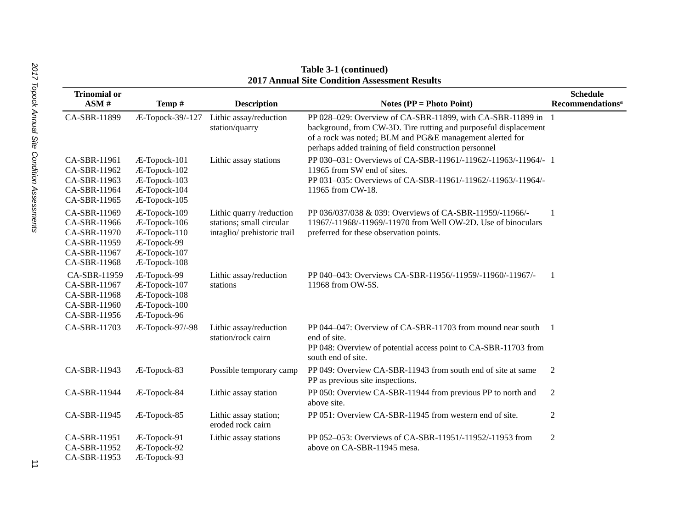|                                                                                              |                                                                                             |                                                                                     | 17 Анниат энс Сонандон Аввевянсти Кевине                                                                                                                                                                                                               |                                                       |
|----------------------------------------------------------------------------------------------|---------------------------------------------------------------------------------------------|-------------------------------------------------------------------------------------|--------------------------------------------------------------------------------------------------------------------------------------------------------------------------------------------------------------------------------------------------------|-------------------------------------------------------|
| <b>Trinomial or</b><br>ASM#                                                                  | Temp#                                                                                       | <b>Description</b>                                                                  | Notes ( $PP = Photo Point$ )                                                                                                                                                                                                                           | <b>Schedule</b><br><b>Recommendations<sup>a</sup></b> |
| CA-SBR-11899                                                                                 | Æ-Topock-39/-127                                                                            | Lithic assay/reduction<br>station/quarry                                            | PP 028-029: Overview of CA-SBR-11899, with CA-SBR-11899 in 1<br>background, from CW-3D. Tire rutting and purposeful displacement<br>of a rock was noted; BLM and PG&E management alerted for<br>perhaps added training of field construction personnel |                                                       |
| CA-SBR-11961<br>CA-SBR-11962<br>CA-SBR-11963<br>CA-SBR-11964<br>CA-SBR-11965                 | Æ-Topock-101<br>Æ-Topock-102<br>Æ-Topock-103<br>Æ-Topock-104<br>Æ-Topock-105                | Lithic assay stations                                                               | PP 030-031: Overviews of CA-SBR-11961/-11962/-11963/-11964/- 1<br>11965 from SW end of sites.<br>PP 031-035: Overviews of CA-SBR-11961/-11962/-11963/-11964/-<br>11965 from CW-18.                                                                     |                                                       |
| CA-SBR-11969<br>CA-SBR-11966<br>CA-SBR-11970<br>CA-SBR-11959<br>CA-SBR-11967<br>CA-SBR-11968 | Æ-Topock-109<br>Æ-Topock-106<br>Æ-Topock-110<br>Æ-Topock-99<br>Æ-Topock-107<br>Æ-Topock-108 | Lithic quarry /reduction<br>stations; small circular<br>intaglio/ prehistoric trail | PP 036/037/038 & 039: Overviews of CA-SBR-11959/-11966/-<br>11967/-11968/-11969/-11970 from Well OW-2D. Use of binoculars<br>preferred for these observation points.                                                                                   |                                                       |
| CA-SBR-11959<br>CA-SBR-11967<br>CA-SBR-11968<br>CA-SBR-11960<br>CA-SBR-11956                 | Æ-Topock-99<br>Æ-Topock-107<br>Æ-Topock-108<br>Æ-Topock-100<br>Æ-Topock-96                  | Lithic assay/reduction<br>stations                                                  | PP 040-043: Overviews CA-SBR-11956/-11959/-11960/-11967/-<br>11968 from OW-5S.                                                                                                                                                                         | -1                                                    |
| CA-SBR-11703                                                                                 | Æ-Topock-97/-98                                                                             | Lithic assay/reduction<br>station/rock cairn                                        | PP 044–047: Overview of CA-SBR-11703 from mound near south<br>end of site.<br>PP 048: Overview of potential access point to CA-SBR-11703 from<br>south end of site.                                                                                    | $\blacksquare$                                        |
| CA-SBR-11943                                                                                 | Æ-Topock-83                                                                                 | Possible temporary camp                                                             | PP 049: Overview CA-SBR-11943 from south end of site at same<br>PP as previous site inspections.                                                                                                                                                       | $\overline{2}$                                        |
| CA-SBR-11944                                                                                 | Æ-Topock-84                                                                                 | Lithic assay station                                                                | PP 050: Overview CA-SBR-11944 from previous PP to north and<br>above site.                                                                                                                                                                             | $\overline{2}$                                        |
| CA-SBR-11945                                                                                 | Æ-Topock-85                                                                                 | Lithic assay station;<br>eroded rock cairn                                          | PP 051: Overview CA-SBR-11945 from western end of site.                                                                                                                                                                                                | 2                                                     |
| CA-SBR-11951<br>CA-SBR-11952<br>CA-SBR-11953                                                 | Æ-Topock-91<br>Æ-Topock-92<br>Æ-Topock-93                                                   | Lithic assay stations                                                               | PP 052–053: Overviews of CA-SBR-11951/-11952/-11953 from<br>above on CA-SBR-11945 mesa.                                                                                                                                                                | $\overline{2}$                                        |

**Table 3-1 (continued) 2017 Annual Site Condition Assessment Results**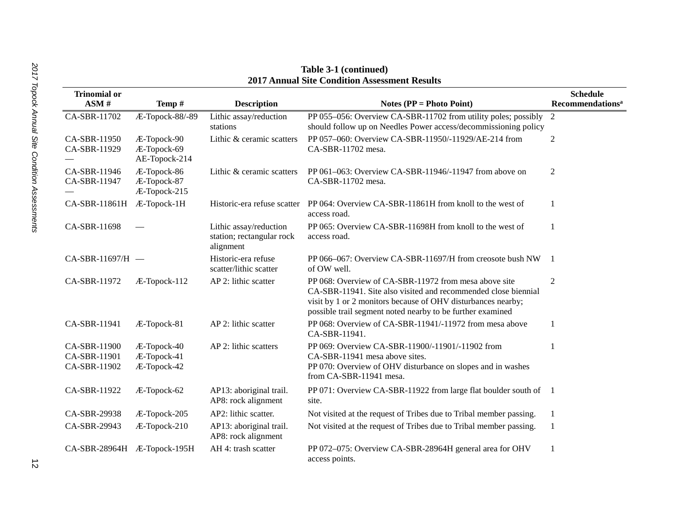| <b>Trinomial or</b><br>ASM#                  | Temp#                                       | <b>Description</b>                                               | Notes ( $PP = Photo Point$ )                                                                                                                                                                                                                          | <b>Schedule</b><br><b>Recommendations<sup>a</sup></b> |
|----------------------------------------------|---------------------------------------------|------------------------------------------------------------------|-------------------------------------------------------------------------------------------------------------------------------------------------------------------------------------------------------------------------------------------------------|-------------------------------------------------------|
| CA-SBR-11702                                 | Æ-Topock-88/-89                             | Lithic assay/reduction<br>stations                               | PP 055–056: Overview CA-SBR-11702 from utility poles; possibly<br>should follow up on Needles Power access/decommissioning policy                                                                                                                     | 2                                                     |
| CA-SBR-11950<br>CA-SBR-11929                 | Æ-Topock-90<br>Æ-Topock-69<br>AE-Topock-214 | Lithic & ceramic scatters                                        | PP 057-060: Overview CA-SBR-11950/-11929/AE-214 from<br>CA-SBR-11702 mesa.                                                                                                                                                                            | $\mathfrak{2}$                                        |
| CA-SBR-11946<br>CA-SBR-11947                 | Æ-Topock-86<br>Æ-Topock-87<br>Æ-Topock-215  | Lithic & ceramic scatters                                        | PP 061-063: Overview CA-SBR-11946/-11947 from above on<br>CA-SBR-11702 mesa.                                                                                                                                                                          | 2                                                     |
| CA-SBR-11861H                                | Æ-Topock-1H                                 | Historic-era refuse scatter                                      | PP 064: Overview CA-SBR-11861H from knoll to the west of<br>access road.                                                                                                                                                                              | $\mathbf{1}$                                          |
| CA-SBR-11698                                 |                                             | Lithic assay/reduction<br>station; rectangular rock<br>alignment | PP 065: Overview CA-SBR-11698H from knoll to the west of<br>access road.                                                                                                                                                                              | 1                                                     |
| CA-SBR-11697/H -                             |                                             | Historic-era refuse<br>scatter/lithic scatter                    | PP 066-067: Overview CA-SBR-11697/H from creosote bush NW<br>of OW well.                                                                                                                                                                              | $\overline{1}$                                        |
| CA-SBR-11972                                 | Æ-Topock-112                                | AP 2: lithic scatter                                             | PP 068: Overview of CA-SBR-11972 from mesa above site<br>CA-SBR-11941. Site also visited and recommended close biennial<br>visit by 1 or 2 monitors because of OHV disturbances nearby;<br>possible trail segment noted nearby to be further examined | 2                                                     |
| CA-SBR-11941                                 | Æ-Topock-81                                 | AP 2: lithic scatter                                             | PP 068: Overview of CA-SBR-11941/-11972 from mesa above<br>CA-SBR-11941.                                                                                                                                                                              | 1                                                     |
| CA-SBR-11900<br>CA-SBR-11901<br>CA-SBR-11902 | Æ-Topock-40<br>Æ-Topock-41<br>Æ-Topock-42   | AP 2: lithic scatters                                            | PP 069: Overview CA-SBR-11900/-11901/-11902 from<br>CA-SBR-11941 mesa above sites.<br>PP 070: Overview of OHV disturbance on slopes and in washes<br>from CA-SBR-11941 mesa.                                                                          | 1                                                     |
| CA-SBR-11922                                 | Æ-Topock-62                                 | AP13: aboriginal trail.<br>AP8: rock alignment                   | PP 071: Overview CA-SBR-11922 from large flat boulder south of 1<br>site.                                                                                                                                                                             |                                                       |
| CA-SBR-29938                                 | Æ-Topock-205                                | AP2: lithic scatter.                                             | Not visited at the request of Tribes due to Tribal member passing.                                                                                                                                                                                    | 1                                                     |
| CA-SBR-29943                                 | Æ-Topock-210                                | AP13: aboriginal trail.<br>AP8: rock alignment                   | Not visited at the request of Tribes due to Tribal member passing.                                                                                                                                                                                    | 1                                                     |
| CA-SBR-28964H Æ-Topock-195H                  |                                             | AH 4: trash scatter                                              | PP 072-075: Overview CA-SBR-28964H general area for OHV<br>access points.                                                                                                                                                                             | 1                                                     |

**Table 3-1 (continued) 2017 Annual Site Condition Assessment Results**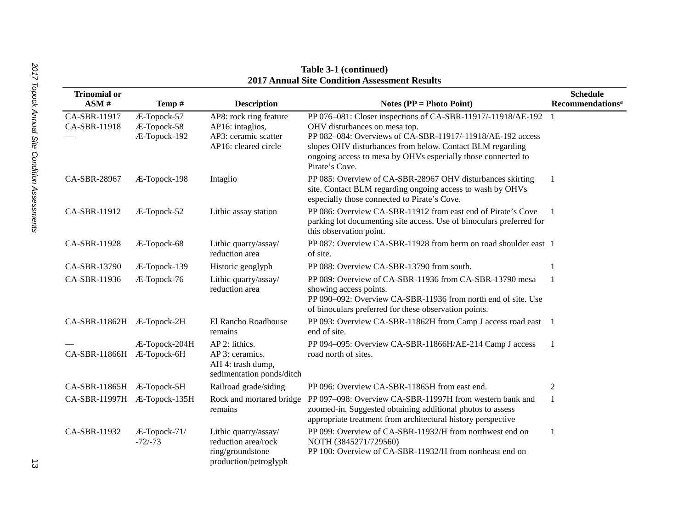| <b>Trinomial or</b>          |                                            |                                                                                            |                                                                                                                                                                                                                                                                                                            | <b>Schedule</b>                    |
|------------------------------|--------------------------------------------|--------------------------------------------------------------------------------------------|------------------------------------------------------------------------------------------------------------------------------------------------------------------------------------------------------------------------------------------------------------------------------------------------------------|------------------------------------|
| ASM#                         | Temp#                                      | <b>Description</b>                                                                         | Notes ( $PP = Photo Point$ )                                                                                                                                                                                                                                                                               | <b>Recommendations<sup>a</sup></b> |
| CA-SBR-11917<br>CA-SBR-11918 | Æ-Topock-57<br>Æ-Topock-58<br>Æ-Topock-192 | AP8: rock ring feature<br>AP16: intaglios,<br>AP3: ceramic scatter<br>AP16: cleared circle | PP 076–081: Closer inspections of CA-SBR-11917/-11918/AE-192<br>OHV disturbances on mesa top.<br>PP 082-084: Overviews of CA-SBR-11917/-11918/AE-192 access<br>slopes OHV disturbances from below. Contact BLM regarding<br>ongoing access to mesa by OHVs especially those connected to<br>Pirate's Cove. | -1                                 |
| CA-SBR-28967                 | Æ-Topock-198                               | Intaglio                                                                                   | PP 085: Overview of CA-SBR-28967 OHV disturbances skirting<br>site. Contact BLM regarding ongoing access to wash by OHVs<br>especially those connected to Pirate's Cove.                                                                                                                                   | -1                                 |
| CA-SBR-11912                 | Æ-Topock-52                                | Lithic assay station                                                                       | PP 086: Overview CA-SBR-11912 from east end of Pirate's Cove<br>parking lot documenting site access. Use of binoculars preferred for<br>this observation point.                                                                                                                                            |                                    |
| CA-SBR-11928                 | Æ-Topock-68                                | Lithic quarry/assay/<br>reduction area                                                     | PP 087: Overview CA-SBR-11928 from berm on road shoulder east 1<br>of site.                                                                                                                                                                                                                                |                                    |
| CA-SBR-13790                 | Æ-Topock-139                               | Historic geoglyph                                                                          | PP 088: Overview CA-SBR-13790 from south.                                                                                                                                                                                                                                                                  |                                    |
| CA-SBR-11936                 | Æ-Topock-76                                | Lithic quarry/assay/<br>reduction area                                                     | PP 089: Overview of CA-SBR-11936 from CA-SBR-13790 mesa<br>showing access points.<br>PP 090-092: Overview CA-SBR-11936 from north end of site. Use<br>of binoculars preferred for these observation points.                                                                                                |                                    |
| CA-SBR-11862H Æ-Topock-2H    |                                            | El Rancho Roadhouse<br>remains                                                             | PP 093: Overview CA-SBR-11862H from Camp J access road east 1<br>end of site.                                                                                                                                                                                                                              |                                    |
| CA-SBR-11866H Æ-Topock-6H    | Æ-Topock-204H                              | AP 2: lithics.<br>AP 3: ceramics.<br>AH 4: trash dump,<br>sedimentation ponds/ditch        | PP 094-095: Overview CA-SBR-11866H/AE-214 Camp J access<br>road north of sites.                                                                                                                                                                                                                            |                                    |
| CA-SBR-11865H Æ-Topock-5H    |                                            | Railroad grade/siding                                                                      | PP 096: Overview CA-SBR-11865H from east end.                                                                                                                                                                                                                                                              | $\overline{2}$                     |
| CA-SBR-11997H Æ-Topock-135H  |                                            | Rock and mortared bridge<br>remains                                                        | PP 097-098: Overview CA-SBR-11997H from western bank and<br>zoomed-in. Suggested obtaining additional photos to assess<br>appropriate treatment from architectural history perspective                                                                                                                     | 1                                  |
| CA-SBR-11932                 | Æ-Topock-71/<br>$-72/-73$                  | Lithic quarry/assay/<br>reduction area/rock<br>ring/groundstone<br>production/petroglyph   | PP 099: Overview of CA-SBR-11932/H from northwest end on<br>NOTH (3845271/729560)<br>PP 100: Overview of CA-SBR-11932/H from northeast end on                                                                                                                                                              | 1                                  |

#### **Table 3-1 (continued) 2017 Annual Site Condition Assessment Results**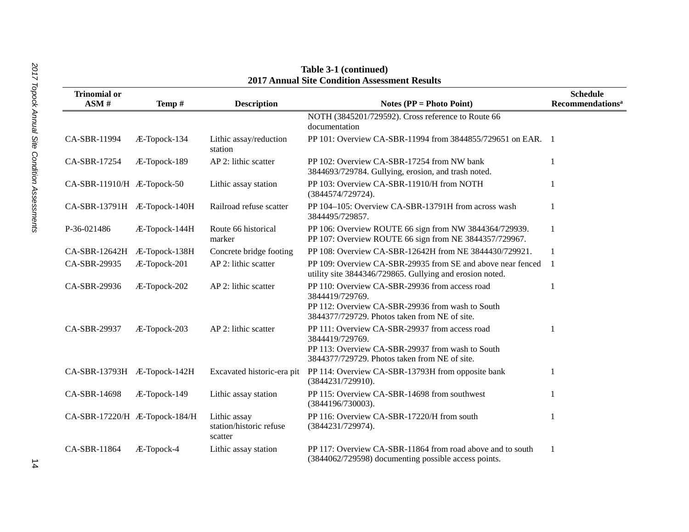| 2017 Annual Site Condition Assessment Results |               |                                                    |                                                                                                                                                                        |                                                       |  |
|-----------------------------------------------|---------------|----------------------------------------------------|------------------------------------------------------------------------------------------------------------------------------------------------------------------------|-------------------------------------------------------|--|
| <b>Trinomial or</b><br>ASM#                   | Temp#         | <b>Description</b>                                 | Notes ( $PP = Photo Point$ )                                                                                                                                           | <b>Schedule</b><br><b>Recommendations<sup>a</sup></b> |  |
|                                               |               |                                                    | NOTH (3845201/729592). Cross reference to Route 66<br>documentation                                                                                                    |                                                       |  |
| CA-SBR-11994                                  | Æ-Topock-134  | Lithic assay/reduction<br>station                  | PP 101: Overview CA-SBR-11994 from 3844855/729651 on EAR. 1                                                                                                            |                                                       |  |
| CA-SBR-17254                                  | Æ-Topock-189  | AP 2: lithic scatter                               | PP 102: Overview CA-SBR-17254 from NW bank<br>3844693/729784. Gullying, erosion, and trash noted.                                                                      |                                                       |  |
| CA-SBR-11910/H Æ-Topock-50                    |               | Lithic assay station                               | PP 103: Overview CA-SBR-11910/H from NOTH<br>(3844574/729724).                                                                                                         |                                                       |  |
| CA-SBR-13791H Æ-Topock-140H                   |               | Railroad refuse scatter                            | PP 104-105: Overview CA-SBR-13791H from across wash<br>3844495/729857.                                                                                                 | 1                                                     |  |
| P-36-021486                                   | Æ-Topock-144H | Route 66 historical<br>marker                      | PP 106: Overview ROUTE 66 sign from NW 3844364/729939.<br>PP 107: Overview ROUTE 66 sign from NE 3844357/729967.                                                       | $\mathbf{1}$                                          |  |
| CA-SBR-12642H                                 | Æ-Topock-138H | Concrete bridge footing                            | PP 108: Overview CA-SBR-12642H from NE 3844430/729921.                                                                                                                 | $\mathbf{1}$                                          |  |
| CA-SBR-29935                                  | Æ-Topock-201  | AP 2: lithic scatter                               | PP 109: Overview CA-SBR-29935 from SE and above near fenced<br>utility site 3844346/729865. Gullying and erosion noted.                                                | $\overline{1}$                                        |  |
| CA-SBR-29936                                  | Æ-Topock-202  | AP 2: lithic scatter                               | PP 110: Overview CA-SBR-29936 from access road<br>3844419/729769.<br>PP 112: Overview CA-SBR-29936 from wash to South<br>3844377/729729. Photos taken from NE of site. | 1                                                     |  |
| CA-SBR-29937                                  | Æ-Topock-203  | AP 2: lithic scatter                               | PP 111: Overview CA-SBR-29937 from access road<br>3844419/729769.<br>PP 113: Overview CA-SBR-29937 from wash to South<br>3844377/729729. Photos taken from NE of site. | 1                                                     |  |
| CA-SBR-13793H Æ-Topock-142H                   |               | Excavated historic-era pit                         | PP 114: Overview CA-SBR-13793H from opposite bank<br>(3844231/729910).                                                                                                 | $\mathbf{1}$                                          |  |
| CA-SBR-14698                                  | Æ-Topock-149  | Lithic assay station                               | PP 115: Overview CA-SBR-14698 from southwest<br>(3844196/730003).                                                                                                      |                                                       |  |
| CA-SBR-17220/H Æ-Topock-184/H                 |               | Lithic assay<br>station/historic refuse<br>scatter | PP 116: Overview CA-SBR-17220/H from south<br>(3844231/729974).                                                                                                        | 1                                                     |  |
| CA-SBR-11864                                  | Æ-Topock-4    | Lithic assay station                               | PP 117: Overview CA-SBR-11864 from road above and to south<br>(3844062/729598) documenting possible access points.                                                     | $\mathbf{1}$                                          |  |

**Table 3-1 (continued) 2017 Annual Site Condition Assessment Results**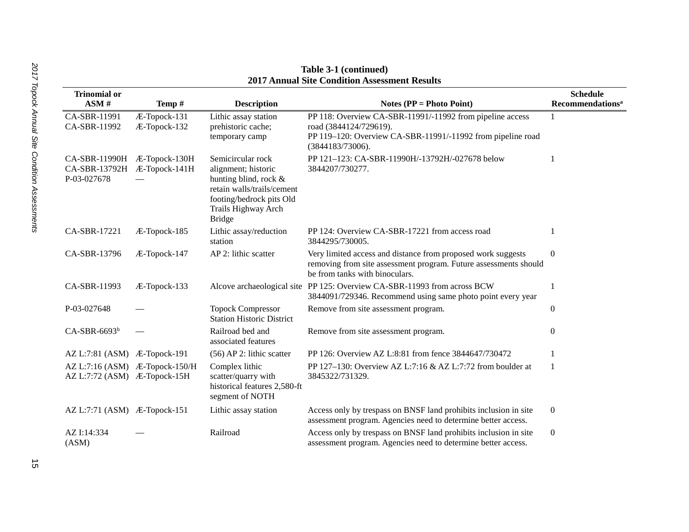| <b>Trinomial or</b><br>ASM#                                    | Temp#                        | <b>Description</b>                                                                                                                                                  | Notes ( $PP = Photo Point$ )                                                                                                                                           | <b>Schedule</b><br><b>Recommendations<sup>a</sup></b> |
|----------------------------------------------------------------|------------------------------|---------------------------------------------------------------------------------------------------------------------------------------------------------------------|------------------------------------------------------------------------------------------------------------------------------------------------------------------------|-------------------------------------------------------|
| CA-SBR-11991<br>CA-SBR-11992                                   | Æ-Topock-131<br>Æ-Topock-132 | Lithic assay station<br>prehistoric cache;<br>temporary camp                                                                                                        | PP 118: Overview CA-SBR-11991/-11992 from pipeline access<br>road (3844124/729619).<br>PP 119-120: Overview CA-SBR-11991/-11992 from pipeline road<br>(3844183/73006). |                                                       |
| CA-SBR-11990H Æ-Topock-130H<br>CA-SBR-13792H<br>P-03-027678    | Æ-Topock-141H                | Semicircular rock<br>alignment; historic<br>hunting blind, rock &<br>retain walls/trails/cement<br>footing/bedrock pits Old<br>Trails Highway Arch<br><b>Bridge</b> | PP 121-123: CA-SBR-11990H/-13792H/-027678 below<br>3844207/730277.                                                                                                     |                                                       |
| CA-SBR-17221                                                   | Æ-Topock-185                 | Lithic assay/reduction<br>station                                                                                                                                   | PP 124: Overview CA-SBR-17221 from access road<br>3844295/730005.                                                                                                      |                                                       |
| CA-SBR-13796                                                   | Æ-Topock-147                 | AP 2: lithic scatter                                                                                                                                                | Very limited access and distance from proposed work suggests<br>removing from site assessment program. Future assessments should<br>be from tanks with binoculars.     | $\overline{0}$                                        |
| CA-SBR-11993                                                   | Æ-Topock-133                 | Alcove archaeological site                                                                                                                                          | PP 125: Overview CA-SBR-11993 from across BCW<br>3844091/729346. Recommend using same photo point every year                                                           |                                                       |
| P-03-027648                                                    |                              | <b>Topock Compressor</b><br><b>Station Historic District</b>                                                                                                        | Remove from site assessment program.                                                                                                                                   | $\Omega$                                              |
| $CA-SBR-6693b$                                                 |                              | Railroad bed and<br>associated features                                                                                                                             | Remove from site assessment program.                                                                                                                                   | $\Omega$                                              |
| AZ L:7:81 (ASM) Æ-Topock-191                                   |                              | $(56)$ AP 2: lithic scatter                                                                                                                                         | PP 126: Overview AZ L:8:81 from fence 3844647/730472                                                                                                                   |                                                       |
| AZ L:7:16 (ASM) Æ-Topock-150/H<br>AZ L:7:72 (ASM) Æ-Topock-15H |                              | Complex lithic<br>scatter/quarry with<br>historical features 2,580-ft<br>segment of NOTH                                                                            | PP 127-130: Overview AZ L:7:16 & AZ L:7:72 from boulder at<br>3845322/731329.                                                                                          |                                                       |
| AZ L:7:71 (ASM) Æ-Topock-151                                   |                              | Lithic assay station                                                                                                                                                | Access only by trespass on BNSF land prohibits inclusion in site<br>assessment program. Agencies need to determine better access.                                      | $\boldsymbol{0}$                                      |
| AZ I:14:334<br>(ASM)                                           |                              | Railroad                                                                                                                                                            | Access only by trespass on BNSF land prohibits inclusion in site<br>assessment program. Agencies need to determine better access.                                      | $\boldsymbol{0}$                                      |

**Table 3-1 (continued) 2017 Annual Site Condition Assessment Results**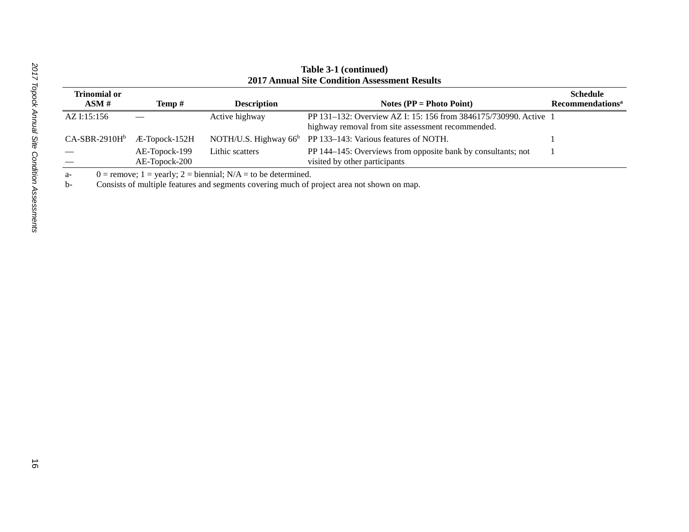| 2017 Annual Site Condition Assessment Results |                                |                          |                                                                                                                       |                              |  |
|-----------------------------------------------|--------------------------------|--------------------------|-----------------------------------------------------------------------------------------------------------------------|------------------------------|--|
| <b>Trinomial or</b>                           |                                |                          |                                                                                                                       | <b>Schedule</b>              |  |
| ASM#                                          | Temp #                         | <b>Description</b>       | Notes ( $PP = Photo Point$ )                                                                                          | Recommendations <sup>a</sup> |  |
| AZ I:15:156                                   |                                | Active highway           | PP 131–132: Overview AZ I: 15: 156 from 3846175/730990. Active 1<br>highway removal from site assessment recommended. |                              |  |
| $CA-SBR-2910Hb$                               | Æ-Topock-152H                  | NOTH/U.S. Highway $66^b$ | PP 133-143: Various features of NOTH.                                                                                 |                              |  |
|                                               | AE-Topock-199<br>AE-Topock-200 | Lithic scatters          | PP 144–145: Overviews from opposite bank by consultants; not<br>visited by other participants                         |                              |  |

#### **Table 3-1 (continued) 2017 Annual Site Condition Assessment Results**

a- 0 = remove; 1 = yearly; 2 = biennial;  $N/A$  = to be determined.

b- Consists of multiple features and segments covering much of project area not shown on map.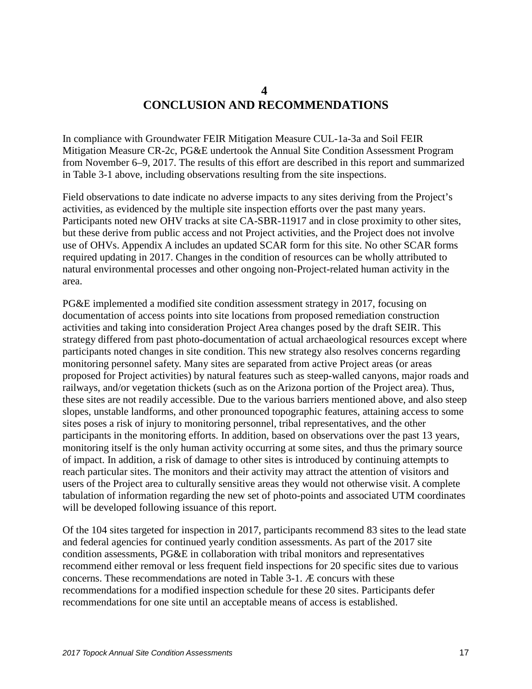### **4 CONCLUSION AND RECOMMENDATIONS**

<span id="page-20-0"></span>In compliance with Groundwater FEIR Mitigation Measure CUL-1a-3a and Soil FEIR Mitigation Measure CR-2c, PG&E undertook the Annual Site Condition Assessment Program from November 6–9, 2017. The results of this effort are described in this report and summarized in Table 3-1 above, including observations resulting from the site inspections.

Field observations to date indicate no adverse impacts to any sites deriving from the Project's activities, as evidenced by the multiple site inspection efforts over the past many years. Participants noted new OHV tracks at site CA-SBR-11917 and in close proximity to other sites, but these derive from public access and not Project activities, and the Project does not involve use of OHVs. Appendix A includes an updated SCAR form for this site. No other SCAR forms required updating in 2017. Changes in the condition of resources can be wholly attributed to natural environmental processes and other ongoing non-Project-related human activity in the area.

PG&E implemented a modified site condition assessment strategy in 2017, focusing on documentation of access points into site locations from proposed remediation construction activities and taking into consideration Project Area changes posed by the draft SEIR. This strategy differed from past photo-documentation of actual archaeological resources except where participants noted changes in site condition. This new strategy also resolves concerns regarding monitoring personnel safety. Many sites are separated from active Project areas (or areas proposed for Project activities) by natural features such as steep-walled canyons, major roads and railways, and/or vegetation thickets (such as on the Arizona portion of the Project area). Thus, these sites are not readily accessible. Due to the various barriers mentioned above, and also steep slopes, unstable landforms, and other pronounced topographic features, attaining access to some sites poses a risk of injury to monitoring personnel, tribal representatives, and the other participants in the monitoring efforts. In addition, based on observations over the past 13 years, monitoring itself is the only human activity occurring at some sites, and thus the primary source of impact. In addition, a risk of damage to other sites is introduced by continuing attempts to reach particular sites. The monitors and their activity may attract the attention of visitors and users of the Project area to culturally sensitive areas they would not otherwise visit. A complete tabulation of information regarding the new set of photo-points and associated UTM coordinates will be developed following issuance of this report.

Of the 104 sites targeted for inspection in 2017, participants recommend 83 sites to the lead state and federal agencies for continued yearly condition assessments. As part of the 2017 site condition assessments, PG&E in collaboration with tribal monitors and representatives recommend either removal or less frequent field inspections for 20 specific sites due to various concerns. These recommendations are noted in Table 3-1. Æ concurs with these recommendations for a modified inspection schedule for these 20 sites. Participants defer recommendations for one site until an acceptable means of access is established.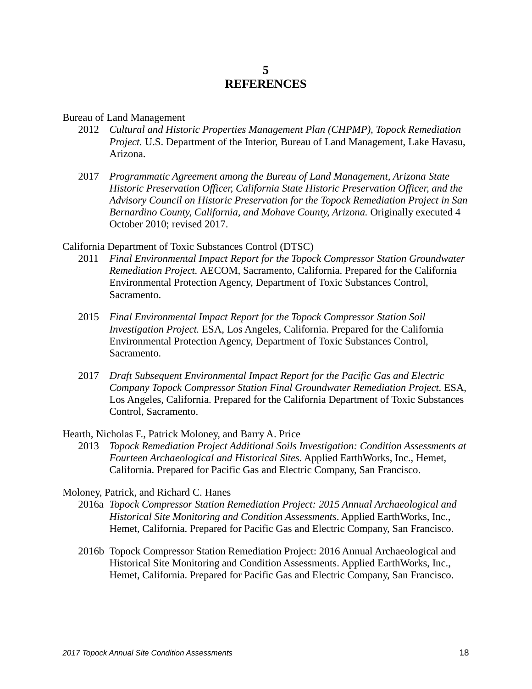#### **5 REFERENCES**

#### <span id="page-21-0"></span>Bureau of Land Management

- 2012 *Cultural and Historic Properties Management Plan (CHPMP), Topock Remediation Project.* U.S. Department of the Interior, Bureau of Land Management, Lake Havasu, Arizona.
- 2017 *Programmatic Agreement among the Bureau of Land Management, Arizona State Historic Preservation Officer, California State Historic Preservation Officer, and the Advisory Council on Historic Preservation for the Topock Remediation Project in San Bernardino County, California, and Mohave County, Arizona.* Originally executed 4 October 2010; revised 2017.

California Department of Toxic Substances Control (DTSC)

- 2011 *Final Environmental Impact Report for the Topock Compressor Station Groundwater Remediation Project.* AECOM, Sacramento, California. Prepared for the California Environmental Protection Agency, Department of Toxic Substances Control, Sacramento.
- 2015 *Final Environmental Impact Report for the Topock Compressor Station Soil Investigation Project.* ESA, Los Angeles, California. Prepared for the California Environmental Protection Agency, Department of Toxic Substances Control, Sacramento.
- 2017 *Draft Subsequent Environmental Impact Report for the Pacific Gas and Electric Company Topock Compressor Station Final Groundwater Remediation Project.* ESA, Los Angeles, California. Prepared for the California Department of Toxic Substances Control, Sacramento.

Hearth, Nicholas F., Patrick Moloney, and Barry A. Price

2013 *Topock Remediation Project Additional Soils Investigation: Condition Assessments at Fourteen Archaeological and Historical Sites.* Applied EarthWorks, Inc., Hemet, California. Prepared for Pacific Gas and Electric Company, San Francisco.

#### Moloney, Patrick, and Richard C. Hanes

- 2016a *Topock Compressor Station Remediation Project: 2015 Annual Archaeological and Historical Site Monitoring and Condition Assessments*. Applied EarthWorks, Inc., Hemet, California. Prepared for Pacific Gas and Electric Company, San Francisco.
- 2016b Topock Compressor Station Remediation Project: 2016 Annual Archaeological and Historical Site Monitoring and Condition Assessments. Applied EarthWorks, Inc., Hemet, California. Prepared for Pacific Gas and Electric Company, San Francisco.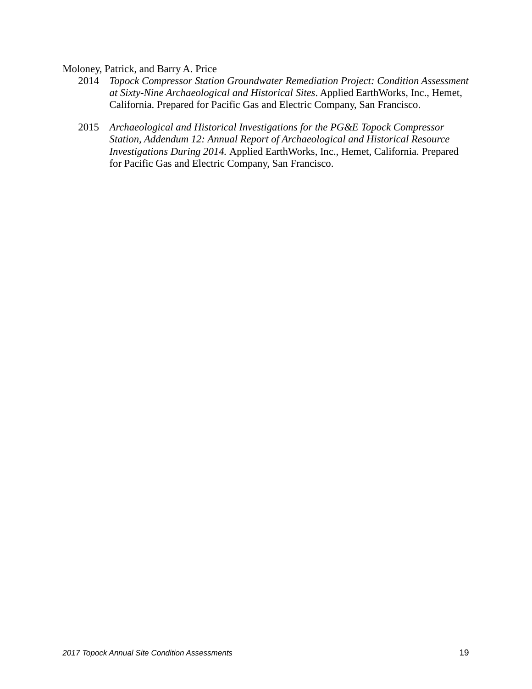Moloney, Patrick, and Barry A. Price

- 2014 *Topock Compressor Station Groundwater Remediation Project: Condition Assessment at Sixty-Nine Archaeological and Historical Sites*. Applied EarthWorks, Inc., Hemet, California. Prepared for Pacific Gas and Electric Company, San Francisco.
- 2015 *Archaeological and Historical Investigations for the PG&E Topock Compressor Station, Addendum 12: Annual Report of Archaeological and Historical Resource Investigations During 2014.* Applied EarthWorks, Inc., Hemet, California. Prepared for Pacific Gas and Electric Company, San Francisco.